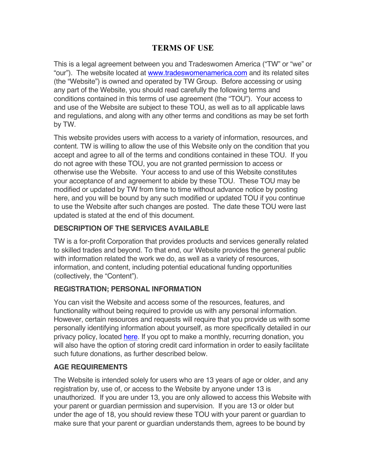# **TERMS OF USE**

This is a legal agreement between you and Tradeswomen America ("TW" or "we" or "our"). The website located at www.tradeswomenamerica.com and its related sites (the "Website") is owned and operated by TW Group. Before accessing or using any part of the Website, you should read carefully the following terms and conditions contained in this terms of use agreement (the "TOU"). Your access to and use of the Website are subject to these TOU, as well as to all applicable laws and regulations, and along with any other terms and conditions as may be set forth by TW.

This website provides users with access to a variety of information, resources, and content. TW is willing to allow the use of this Website only on the condition that you accept and agree to all of the terms and conditions contained in these TOU. If you do not agree with these TOU, you are not granted permission to access or otherwise use the Website. Your access to and use of this Website constitutes your acceptance of and agreement to abide by these TOU. These TOU may be modified or updated by TW from time to time without advance notice by posting here, and you will be bound by any such modified or updated TOU if you continue to use the Website after such changes are posted. The date these TOU were last updated is stated at the end of this document.

### **DESCRIPTION OF THE SERVICES AVAILABLE**

TW is a for-profit Corporation that provides products and services generally related to skilled trades and beyond. To that end, our Website provides the general public with information related the work we do, as well as a variety of resources, information, and content, including potential educational funding opportunities (collectively, the "Content").

### **REGISTRATION; PERSONAL INFORMATION**

You can visit the Website and access some of the resources, features, and functionality without being required to provide us with any personal information. However, certain resources and requests will require that you provide us with some personally identifying information about yourself, as more specifically detailed in our privacy policy, located here. If you opt to make a monthly, recurring donation, you will also have the option of storing credit card information in order to easily facilitate such future donations, as further described below.

### **AGE REQUIREMENTS**

The Website is intended solely for users who are 13 years of age or older, and any registration by, use of, or access to the Website by anyone under 13 is unauthorized. If you are under 13, you are only allowed to access this Website with your parent or guardian permission and supervision. If you are 13 or older but under the age of 18, you should review these TOU with your parent or guardian to make sure that your parent or guardian understands them, agrees to be bound by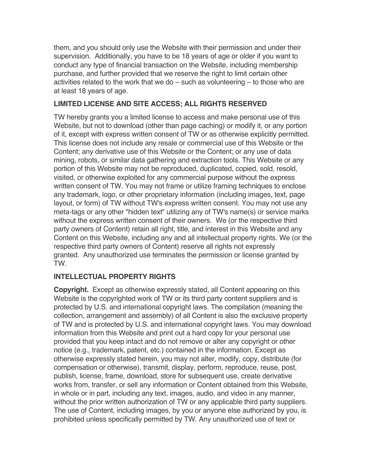them, and you should only use the Website with their permission and under their supervision. Additionally, you have to be 18 years of age or older if you want to conduct any type of financial transaction on the Website, including membership purchase, and further provided that we reserve the right to limit certain other activities related to the work that we do – such as volunteering – to those who are at least 18 years of age.

### **LIMITED LICENSE AND SITE ACCESS; ALL RIGHTS RESERVED**

TW hereby grants you a limited license to access and make personal use of this Website, but not to download (other than page caching) or modify it, or any portion of it, except with express written consent of TW or as otherwise explicitly permitted. This license does not include any resale or commercial use of this Website or the Content; any derivative use of this Website or the Content; or any use of data mining, robots, or similar data gathering and extraction tools. This Website or any portion of this Website may not be reproduced, duplicated, copied, sold, resold, visited, or otherwise exploited for any commercial purpose without the express written consent of TW. You may not frame or utilize framing techniques to enclose any trademark, logo, or other proprietary information (including images, text, page layout, or form) of TW without TW's express written consent. You may not use any meta-tags or any other "hidden text" utilizing any of TW's name(s) or service marks without the express written consent of their owners. We (or the respective third party owners of Content) retain all right, title, and interest in this Website and any Content on this Website, including any and all intellectual property rights. We (or the respective third party owners of Content) reserve all rights not expressly granted. Any unauthorized use terminates the permission or license granted by TW.

### **INTELLECTUAL PROPERTY RIGHTS**

**Copyright.** Except as otherwise expressly stated, all Content appearing on this Website is the copyrighted work of TW or its third party content suppliers and is protected by U.S. and international copyright laws. The compilation (meaning the collection, arrangement and assembly) of all Content is also the exclusive property of TW and is protected by U.S. and international copyright laws. You may download information from this Website and print out a hard copy for your personal use provided that you keep intact and do not remove or alter any copyright or other notice (e.g., trademark, patent, etc.) contained in the information. Except as otherwise expressly stated herein, you may not alter, modify, copy, distribute (for compensation or otherwise), transmit, display, perform, reproduce, reuse, post, publish, license, frame, download, store for subsequent use, create derivative works from, transfer, or sell any information or Content obtained from this Website, in whole or in part, including any text, images, audio, and video in any manner, without the prior written authorization of TW or any applicable third party suppliers. The use of Content, including images, by you or anyone else authorized by you, is prohibited unless specifically permitted by TW. Any unauthorized use of text or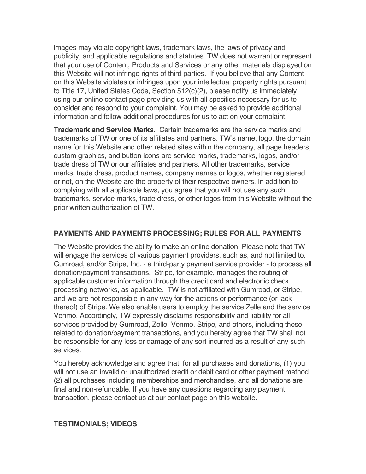images may violate copyright laws, trademark laws, the laws of privacy and publicity, and applicable regulations and statutes. TW does not warrant or represent that your use of Content, Products and Services or any other materials displayed on this Website will not infringe rights of third parties. If you believe that any Content on this Website violates or infringes upon your intellectual property rights pursuant to Title 17, United States Code, Section 512(c)(2), please notify us immediately using our online contact page providing us with all specifics necessary for us to consider and respond to your complaint. You may be asked to provide additional information and follow additional procedures for us to act on your complaint.

**Trademark and Service Marks.** Certain trademarks are the service marks and trademarks of TW or one of its affiliates and partners. TW's name, logo, the domain name for this Website and other related sites within the company, all page headers, custom graphics, and button icons are service marks, trademarks, logos, and/or trade dress of TW or our affiliates and partners. All other trademarks, service marks, trade dress, product names, company names or logos, whether registered or not, on the Website are the property of their respective owners. In addition to complying with all applicable laws, you agree that you will not use any such trademarks, service marks, trade dress, or other logos from this Website without the prior written authorization of TW.

### **PAYMENTS AND PAYMENTS PROCESSING; RULES FOR ALL PAYMENTS**

The Website provides the ability to make an online donation. Please note that TW will engage the services of various payment providers, such as, and not limited to, Gumroad, and/or Stripe, Inc. - a third-party payment service provider - to process all donation/payment transactions. Stripe, for example, manages the routing of applicable customer information through the credit card and electronic check processing networks, as applicable. TW is not affiliated with Gumroad, or Stripe, and we are not responsible in any way for the actions or performance (or lack thereof) of Stripe. We also enable users to employ the service Zelle and the service Venmo. Accordingly, TW expressly disclaims responsibility and liability for all services provided by Gumroad, Zelle, Venmo, Stripe, and others, including those related to donation/payment transactions, and you hereby agree that TW shall not be responsible for any loss or damage of any sort incurred as a result of any such services.

You hereby acknowledge and agree that, for all purchases and donations, (1) you will not use an invalid or unauthorized credit or debit card or other payment method; (2) all purchases including memberships and merchandise, and all donations are final and non-refundable. If you have any questions regarding any payment transaction, please contact us at our contact page on this website.

### **TESTIMONIALS; VIDEOS**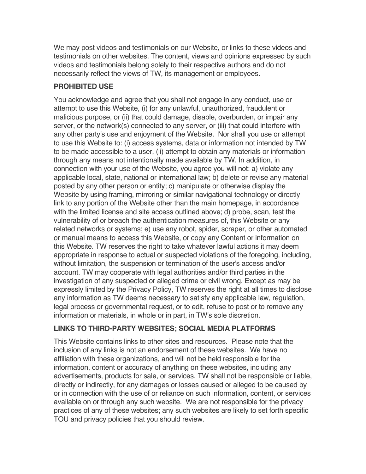We may post videos and testimonials on our Website, or links to these videos and testimonials on other websites. The content, views and opinions expressed by such videos and testimonials belong solely to their respective authors and do not necessarily reflect the views of TW, its management or employees.

## **PROHIBITED USE**

You acknowledge and agree that you shall not engage in any conduct, use or attempt to use this Website, (i) for any unlawful, unauthorized, fraudulent or malicious purpose, or (ii) that could damage, disable, overburden, or impair any server, or the network(s) connected to any server, or (iii) that could interfere with any other party's use and enjoyment of the Website. Nor shall you use or attempt to use this Website to: (i) access systems, data or information not intended by TW to be made accessible to a user, (ii) attempt to obtain any materials or information through any means not intentionally made available by TW. In addition, in connection with your use of the Website, you agree you will not: a) violate any applicable local, state, national or international law; b) delete or revise any material posted by any other person or entity; c) manipulate or otherwise display the Website by using framing, mirroring or similar navigational technology or directly link to any portion of the Website other than the main homepage, in accordance with the limited license and site access outlined above; d) probe, scan, test the vulnerability of or breach the authentication measures of, this Website or any related networks or systems; e) use any robot, spider, scraper, or other automated or manual means to access this Website, or copy any Content or information on this Website. TW reserves the right to take whatever lawful actions it may deem appropriate in response to actual or suspected violations of the foregoing, including, without limitation, the suspension or termination of the user's access and/or account. TW may cooperate with legal authorities and/or third parties in the investigation of any suspected or alleged crime or civil wrong. Except as may be expressly limited by the Privacy Policy, TW reserves the right at all times to disclose any information as TW deems necessary to satisfy any applicable law, regulation, legal process or governmental request, or to edit, refuse to post or to remove any information or materials, in whole or in part, in TW's sole discretion.

## **LINKS TO THIRD-PARTY WEBSITES; SOCIAL MEDIA PLATFORMS**

This Website contains links to other sites and resources. Please note that the inclusion of any links is not an endorsement of these websites. We have no affiliation with these organizations, and will not be held responsible for the information, content or accuracy of anything on these websites, including any advertisements, products for sale, or services. TW shall not be responsible or liable, directly or indirectly, for any damages or losses caused or alleged to be caused by or in connection with the use of or reliance on such information, content, or services available on or through any such website. We are not responsible for the privacy practices of any of these websites; any such websites are likely to set forth specific TOU and privacy policies that you should review.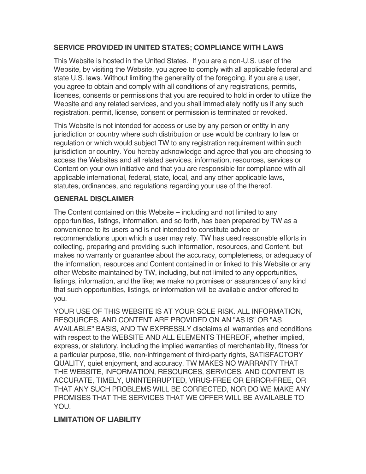### **SERVICE PROVIDED IN UNITED STATES; COMPLIANCE WITH LAWS**

This Website is hosted in the United States. If you are a non-U.S. user of the Website, by visiting the Website, you agree to comply with all applicable federal and state U.S. laws. Without limiting the generality of the foregoing, if you are a user, you agree to obtain and comply with all conditions of any registrations, permits, licenses, consents or permissions that you are required to hold in order to utilize the Website and any related services, and you shall immediately notify us if any such registration, permit, license, consent or permission is terminated or revoked.

This Website is not intended for access or use by any person or entity in any jurisdiction or country where such distribution or use would be contrary to law or regulation or which would subject TW to any registration requirement within such jurisdiction or country. You hereby acknowledge and agree that you are choosing to access the Websites and all related services, information, resources, services or Content on your own initiative and that you are responsible for compliance with all applicable international, federal, state, local, and any other applicable laws, statutes, ordinances, and regulations regarding your use of the thereof.

### **GENERAL DISCLAIMER**

The Content contained on this Website – including and not limited to any opportunities, listings, information, and so forth, has been prepared by TW as a convenience to its users and is not intended to constitute advice or recommendations upon which a user may rely. TW has used reasonable efforts in collecting, preparing and providing such information, resources, and Content, but makes no warranty or guarantee about the accuracy, completeness, or adequacy of the information, resources and Content contained in or linked to this Website or any other Website maintained by TW, including, but not limited to any opportunities, listings, information, and the like; we make no promises or assurances of any kind that such opportunities, listings, or information will be available and/or offered to you.

YOUR USE OF THIS WEBSITE IS AT YOUR SOLE RISK. ALL INFORMATION, RESOURCES, AND CONTENT ARE PROVIDED ON AN "AS IS" OR "AS AVAILABLE" BASIS, AND TW EXPRESSLY disclaims all warranties and conditions with respect to the WEBSITE AND ALL ELEMENTS THEREOF, whether implied, express, or statutory, including the implied warranties of merchantability, fitness for a particular purpose, title, non-infringement of third-party rights, SATISFACTORY QUALITY, quiet enjoyment, and accuracy. TW MAKES NO WARRANTY THAT THE WEBSITE, INFORMATION, RESOURCES, SERVICES, AND CONTENT IS ACCURATE, TIMELY, UNINTERRUPTED, VIRUS-FREE OR ERROR-FREE, OR THAT ANY SUCH PROBLEMS WILL BE CORRECTED, NOR DO WE MAKE ANY PROMISES THAT THE SERVICES THAT WE OFFER WILL BE AVAILABLE TO YOU.

## **LIMITATION OF LIABILITY**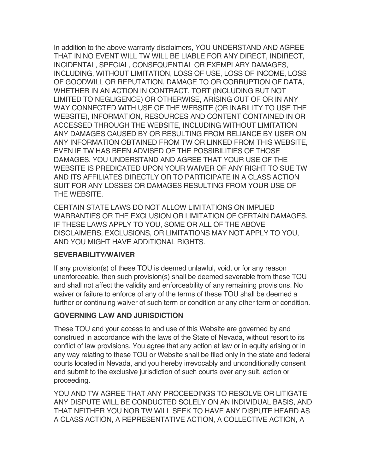In addition to the above warranty disclaimers, YOU UNDERSTAND AND AGREE THAT IN NO EVENT WILL TW WILL BE LIABLE FOR ANY DIRECT, INDIRECT, INCIDENTAL, SPECIAL, CONSEQUENTIAL OR EXEMPLARY DAMAGES, INCLUDING, WITHOUT LIMITATION, LOSS OF USE, LOSS OF INCOME, LOSS OF GOODWILL OR REPUTATION, DAMAGE TO OR CORRUPTION OF DATA, WHETHER IN AN ACTION IN CONTRACT, TORT (INCLUDING BUT NOT LIMITED TO NEGLIGENCE) OR OTHERWISE, ARISING OUT OF OR IN ANY WAY CONNECTED WITH USE OF THE WEBSITE (OR INABILITY TO USE THE WEBSITE), INFORMATION, RESOURCES AND CONTENT CONTAINED IN OR ACCESSED THROUGH THE WEBSITE, INCLUDING WITHOUT LIMITATION ANY DAMAGES CAUSED BY OR RESULTING FROM RELIANCE BY USER ON ANY INFORMATION OBTAINED FROM TW OR LINKED FROM THIS WEBSITE, EVEN IF TW HAS BEEN ADVISED OF THE POSSIBILITIES OF THOSE DAMAGES. YOU UNDERSTAND AND AGREE THAT YOUR USE OF THE WEBSITE IS PREDICATED UPON YOUR WAIVER OF ANY RIGHT TO SUE TW AND ITS AFFILIATES DIRECTLY OR TO PARTICIPATE IN A CLASS ACTION SUIT FOR ANY LOSSES OR DAMAGES RESULTING FROM YOUR USE OF THE WEBSITE.

CERTAIN STATE LAWS DO NOT ALLOW LIMITATIONS ON IMPLIED WARRANTIES OR THE EXCLUSION OR LIMITATION OF CERTAIN DAMAGES. IF THESE LAWS APPLY TO YOU, SOME OR ALL OF THE ABOVE DISCLAIMERS, EXCLUSIONS, OR LIMITATIONS MAY NOT APPLY TO YOU, AND YOU MIGHT HAVE ADDITIONAL RIGHTS.

#### **SEVERABILITY/WAIVER**

If any provision(s) of these TOU is deemed unlawful, void, or for any reason unenforceable, then such provision(s) shall be deemed severable from these TOU and shall not affect the validity and enforceability of any remaining provisions. No waiver or failure to enforce of any of the terms of these TOU shall be deemed a further or continuing waiver of such term or condition or any other term or condition.

### **GOVERNING LAW AND JURISDICTION**

These TOU and your access to and use of this Website are governed by and construed in accordance with the laws of the State of Nevada, without resort to its conflict of law provisions. You agree that any action at law or in equity arising or in any way relating to these TOU or Website shall be filed only in the state and federal courts located in Nevada, and you hereby irrevocably and unconditionally consent and submit to the exclusive jurisdiction of such courts over any suit, action or proceeding.

YOU AND TW AGREE THAT ANY PROCEEDINGS TO RESOLVE OR LITIGATE ANY DISPUTE WILL BE CONDUCTED SOLELY ON AN INDIVIDUAL BASIS, AND THAT NEITHER YOU NOR TW WILL SEEK TO HAVE ANY DISPUTE HEARD AS A CLASS ACTION, A REPRESENTATIVE ACTION, A COLLECTIVE ACTION, A